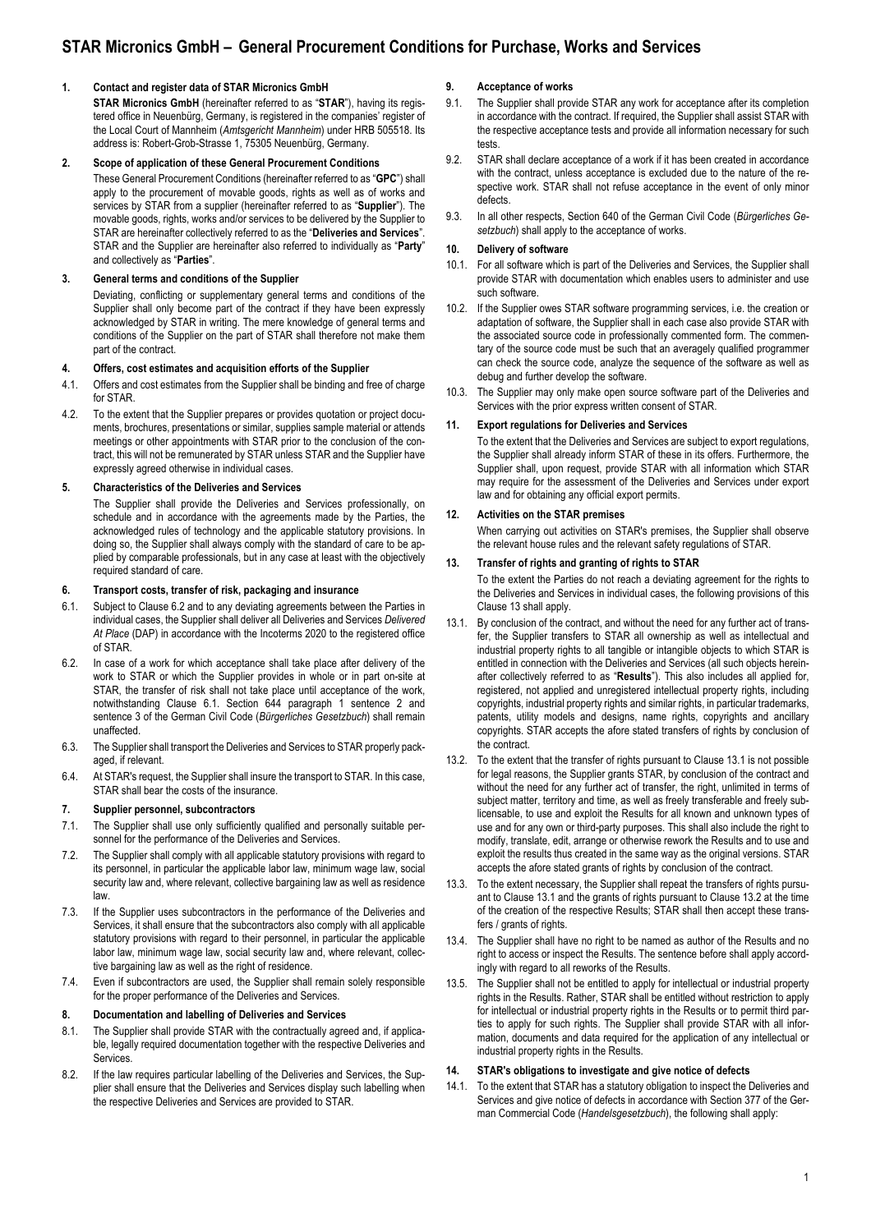# **STAR Micronics GmbH – General Procurement Conditions for Purchase, Works and Services**

# **1. Contact and register data of STAR Micronics GmbH**

**STAR Micronics GmbH** (hereinafter referred to as "**STAR**"), having its registered office in Neuenbürg, Germany, is registered in the companies' register of the Local Court of Mannheim (*Amtsgericht Mannheim*) under HRB 505518. Its address is: Robert-Grob-Strasse 1, 75305 Neuenbürg, Germany.

### **2. Scope of application of these General Procurement Conditions**

These General Procurement Conditions (hereinafter referred to as "**GPC**") shall apply to the procurement of movable goods, rights as well as of works and services by STAR from a supplier (hereinafter referred to as "**Supplier**"). The movable goods, rights, works and/or services to be delivered by the Supplier to STAR are hereinafter collectively referred to as the "**Deliveries and Services**". STAR and the Supplier are hereinafter also referred to individually as "**Party**" and collectively as "**Parties**".

# **3. General terms and conditions of the Supplier**

Deviating, conflicting or supplementary general terms and conditions of the Supplier shall only become part of the contract if they have been expressly acknowledged by STAR in writing. The mere knowledge of general terms and conditions of the Supplier on the part of STAR shall therefore not make them part of the contract.

### **4. Offers, cost estimates and acquisition efforts of the Supplier**

- 4.1. Offers and cost estimates from the Supplier shall be binding and free of charge for STAR.
- 4.2. To the extent that the Supplier prepares or provides quotation or project documents, brochures, presentations or similar, supplies sample material or attends meetings or other appointments with STAR prior to the conclusion of the contract, this will not be remunerated by STAR unless STAR and the Supplier have expressly agreed otherwise in individual cases.

# **5. Characteristics of the Deliveries and Services**

The Supplier shall provide the Deliveries and Services professionally, on schedule and in accordance with the agreements made by the Parties, the acknowledged rules of technology and the applicable statutory provisions. In doing so, the Supplier shall always comply with the standard of care to be applied by comparable professionals, but in any case at least with the objectively required standard of care.

## **6. Transport costs, transfer of risk, packaging and insurance**

- 6.1. Subject to Clause 6.2 and to any deviating agreements between the Parties in individual cases, the Supplier shall deliver all Deliveries and Services *Delivered At Place* (DAP) in accordance with the Incoterms 2020 to the registered office of STAR.
- 6.2. In case of a work for which acceptance shall take place after delivery of the work to STAR or which the Supplier provides in whole or in part on-site at STAR, the transfer of risk shall not take place until acceptance of the work, notwithstanding Clause 6.1. Section 644 paragraph 1 sentence 2 and sentence 3 of the German Civil Code (*Bürgerliches Gesetzbuch*) shall remain unaffected.
- 6.3. The Supplier shall transport the Deliveries and Services to STAR properly packaged, if relevant.
- 6.4. At STAR's request, the Supplier shall insure the transport to STAR. In this case, STAR shall bear the costs of the insurance.

# **7. Supplier personnel, subcontractors**

- 7.1. The Supplier shall use only sufficiently qualified and personally suitable personnel for the performance of the Deliveries and Services.
- 7.2. The Supplier shall comply with all applicable statutory provisions with regard to its personnel, in particular the applicable labor law, minimum wage law, social security law and, where relevant, collective bargaining law as well as residence law.
- 7.3. If the Supplier uses subcontractors in the performance of the Deliveries and Services, it shall ensure that the subcontractors also comply with all applicable statutory provisions with regard to their personnel, in particular the applicable labor law, minimum wage law, social security law and, where relevant, collective bargaining law as well as the right of residence.
- 7.4. Even if subcontractors are used, the Supplier shall remain solely responsible for the proper performance of the Deliveries and Services.

### **8. Documentation and labelling of Deliveries and Services**

- 8.1. The Supplier shall provide STAR with the contractually agreed and, if applicable, legally required documentation together with the respective Deliveries and Services.
- 8.2. If the law requires particular labelling of the Deliveries and Services, the Supplier shall ensure that the Deliveries and Services display such labelling when the respective Deliveries and Services are provided to STAR.

# **9. Acceptance of works**

- 9.1. The Supplier shall provide STAR any work for acceptance after its completion in accordance with the contract. If required, the Supplier shall assist STAR with the respective acceptance tests and provide all information necessary for such tests.
- 9.2. STAR shall declare acceptance of a work if it has been created in accordance with the contract, unless acceptance is excluded due to the nature of the respective work. STAR shall not refuse acceptance in the event of only minor defects.
- 9.3. In all other respects, Section 640 of the German Civil Code (*Bürgerliches Gesetzbuch*) shall apply to the acceptance of works.

# **10. Delivery of software**

- 10.1. For all software which is part of the Deliveries and Services, the Supplier shall provide STAR with documentation which enables users to administer and use such software.
- 10.2. If the Supplier owes STAR software programming services, i.e. the creation or adaptation of software, the Supplier shall in each case also provide STAR with the associated source code in professionally commented form. The commentary of the source code must be such that an averagely qualified programmer can check the source code, analyze the sequence of the software as well as debug and further develop the software.
- 10.3. The Supplier may only make open source software part of the Deliveries and Services with the prior express written consent of STAR.

## **11. Export regulations for Deliveries and Services**

To the extent that the Deliveries and Services are subject to export regulations, the Supplier shall already inform STAR of these in its offers. Furthermore, the Supplier shall, upon request, provide STAR with all information which STAR may require for the assessment of the Deliveries and Services under export law and for obtaining any official export permits.

## **12. Activities on the STAR premises**

When carrying out activities on STAR's premises, the Supplier shall observe the relevant house rules and the relevant safety regulations of STAR.

# **13. Transfer of rights and granting of rights to STAR**

To the extent the Parties do not reach a deviating agreement for the rights to the Deliveries and Services in individual cases, the following provisions of this Clause 13 shall apply.

- 13.1. By conclusion of the contract, and without the need for any further act of transfer, the Supplier transfers to STAR all ownership as well as intellectual and industrial property rights to all tangible or intangible objects to which STAR is entitled in connection with the Deliveries and Services (all such objects hereinafter collectively referred to as "**Results**"). This also includes all applied for, registered, not applied and unregistered intellectual property rights, including copyrights, industrial property rights and similar rights, in particular trademarks, patents, utility models and designs, name rights, copyrights and ancillary copyrights. STAR accepts the afore stated transfers of rights by conclusion of the contract.
- 13.2. To the extent that the transfer of rights pursuant to Clause 13.1 is not possible for legal reasons, the Supplier grants STAR, by conclusion of the contract and without the need for any further act of transfer, the right, unlimited in terms of subject matter, territory and time, as well as freely transferable and freely sublicensable, to use and exploit the Results for all known and unknown types of use and for any own or third-party purposes. This shall also include the right to modify, translate, edit, arrange or otherwise rework the Results and to use and exploit the results thus created in the same way as the original versions. STAR accepts the afore stated grants of rights by conclusion of the contract.
- 13.3. To the extent necessary, the Supplier shall repeat the transfers of rights pursuant to Clause 13.1 and the grants of rights pursuant to Clause 13.2 at the time of the creation of the respective Results; STAR shall then accept these transfers / grants of rights.
- 13.4. The Supplier shall have no right to be named as author of the Results and no right to access or inspect the Results. The sentence before shall apply accordingly with regard to all reworks of the Results.
- 13.5. The Supplier shall not be entitled to apply for intellectual or industrial property rights in the Results. Rather, STAR shall be entitled without restriction to apply for intellectual or industrial property rights in the Results or to permit third parties to apply for such rights. The Supplier shall provide STAR with all information, documents and data required for the application of any intellectual or industrial property rights in the Results.

# **14. STAR's obligations to investigate and give notice of defects**

14.1. To the extent that STAR has a statutory obligation to inspect the Deliveries and Services and give notice of defects in accordance with Section 377 of the German Commercial Code (*Handelsgesetzbuch*), the following shall apply: